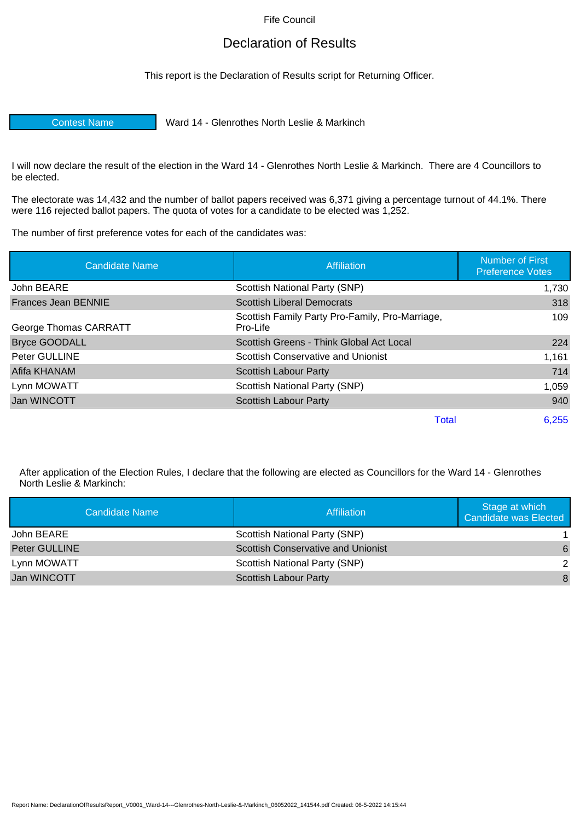Fife Council

## Declaration of Results

This report is the Declaration of Results script for Returning Officer.

Contest Name Ward 14 - Glenrothes North Leslie & Markinch

I will now declare the result of the election in the Ward 14 - Glenrothes North Leslie & Markinch. There are 4 Councillors to be elected.

The electorate was 14,432 and the number of ballot papers received was 6,371 giving a percentage turnout of 44.1%. There were 116 rejected ballot papers. The quota of votes for a candidate to be elected was 1,252.

The number of first preference votes for each of the candidates was:

| <b>Candidate Name</b>      | <b>Affiliation</b>                                          | <b>Number of First</b><br><b>Preference Votes</b> |
|----------------------------|-------------------------------------------------------------|---------------------------------------------------|
| John BEARE                 | Scottish National Party (SNP)                               | 1,730                                             |
| <b>Frances Jean BENNIE</b> | <b>Scottish Liberal Democrats</b>                           | 318                                               |
| George Thomas CARRATT      | Scottish Family Party Pro-Family, Pro-Marriage,<br>Pro-Life | 109                                               |
| <b>Bryce GOODALL</b>       | Scottish Greens - Think Global Act Local                    | 224                                               |
| Peter GULLINE              | Scottish Conservative and Unionist                          | 1,161                                             |
| Afifa KHANAM               | <b>Scottish Labour Party</b>                                | 714                                               |
| Lynn MOWATT                | Scottish National Party (SNP)                               | 1,059                                             |
| Jan WINCOTT                | Scottish Labour Party                                       | 940                                               |
|                            | Total                                                       | 6,255                                             |

After application of the Election Rules, I declare that the following are elected as Councillors for the Ward 14 - Glenrothes North Leslie & Markinch:

| Candidate Name | Affiliation                               | Stage at which<br>Candidate was Elected |
|----------------|-------------------------------------------|-----------------------------------------|
| John BEARE     | Scottish National Party (SNP)             |                                         |
| Peter GULLINE  | <b>Scottish Conservative and Unionist</b> | 6                                       |
| Lynn MOWATT    | Scottish National Party (SNP)             | 2                                       |
| Jan WINCOTT    | Scottish Labour Party                     | 8                                       |